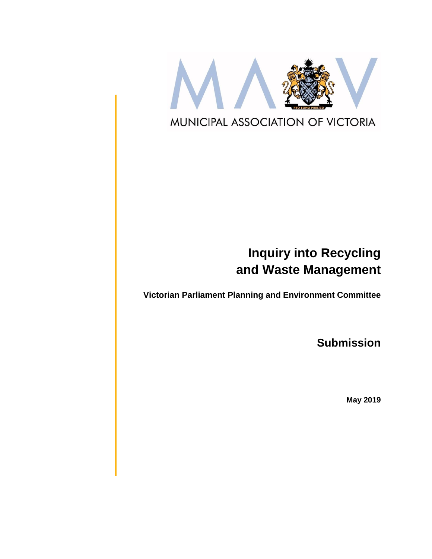

# **Inquiry into Recycling and Waste Management**

**Victorian Parliament Planning and Environment Committee**

**Submission**

**May 2019**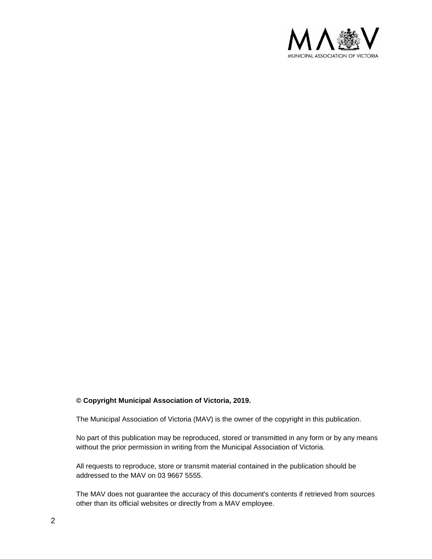

#### **© Copyright Municipal Association of Victoria, 2019.**

The Municipal Association of Victoria (MAV) is the owner of the copyright in this publication.

No part of this publication may be reproduced, stored or transmitted in any form or by any means without the prior permission in writing from the Municipal Association of Victoria.

All requests to reproduce, store or transmit material contained in the publication should be addressed to the MAV on 03 9667 5555.

The MAV does not guarantee the accuracy of this document's contents if retrieved from sources other than its official websites or directly from a MAV employee.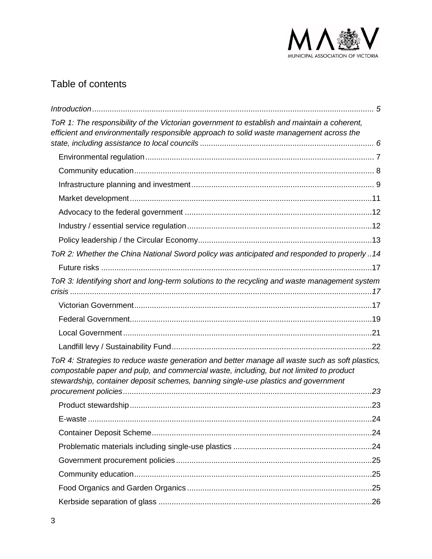

# Table of contents

| ToR 1: The responsibility of the Victorian government to establish and maintain a coherent,<br>efficient and environmentally responsible approach to solid waste management across the                                                                                           |
|----------------------------------------------------------------------------------------------------------------------------------------------------------------------------------------------------------------------------------------------------------------------------------|
|                                                                                                                                                                                                                                                                                  |
|                                                                                                                                                                                                                                                                                  |
|                                                                                                                                                                                                                                                                                  |
|                                                                                                                                                                                                                                                                                  |
|                                                                                                                                                                                                                                                                                  |
|                                                                                                                                                                                                                                                                                  |
|                                                                                                                                                                                                                                                                                  |
| ToR 2: Whether the China National Sword policy was anticipated and responded to properly 14                                                                                                                                                                                      |
|                                                                                                                                                                                                                                                                                  |
| ToR 3: Identifying short and long-term solutions to the recycling and waste management system                                                                                                                                                                                    |
|                                                                                                                                                                                                                                                                                  |
|                                                                                                                                                                                                                                                                                  |
|                                                                                                                                                                                                                                                                                  |
|                                                                                                                                                                                                                                                                                  |
|                                                                                                                                                                                                                                                                                  |
| ToR 4: Strategies to reduce waste generation and better manage all waste such as soft plastics,<br>compostable paper and pulp, and commercial waste, including, but not limited to product<br>stewardship, container deposit schemes, banning single-use plastics and government |
|                                                                                                                                                                                                                                                                                  |
| F-waste<br>. 24                                                                                                                                                                                                                                                                  |
|                                                                                                                                                                                                                                                                                  |
|                                                                                                                                                                                                                                                                                  |
|                                                                                                                                                                                                                                                                                  |
|                                                                                                                                                                                                                                                                                  |
|                                                                                                                                                                                                                                                                                  |
|                                                                                                                                                                                                                                                                                  |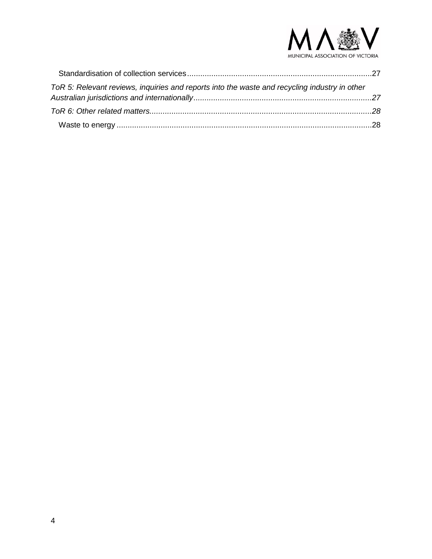

| ToR 5: Relevant reviews, inquiries and reports into the waste and recycling industry in other |  |
|-----------------------------------------------------------------------------------------------|--|
|                                                                                               |  |
|                                                                                               |  |
|                                                                                               |  |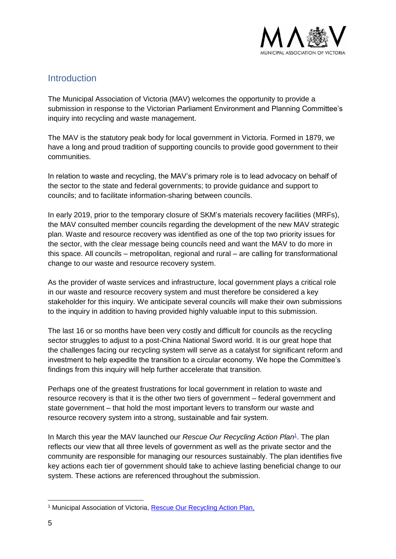

### <span id="page-4-0"></span>Introduction

The Municipal Association of Victoria (MAV) welcomes the opportunity to provide a submission in response to the Victorian Parliament Environment and Planning Committee's inquiry into recycling and waste management.

The MAV is the statutory peak body for local government in Victoria. Formed in 1879, we have a long and proud tradition of supporting councils to provide good government to their communities.

In relation to waste and recycling, the MAV's primary role is to lead advocacy on behalf of the sector to the state and federal governments; to provide guidance and support to councils; and to facilitate information-sharing between councils.

In early 2019, prior to the temporary closure of SKM's materials recovery facilities (MRFs), the MAV consulted member councils regarding the development of the new MAV strategic plan. Waste and resource recovery was identified as one of the top two priority issues for the sector, with the clear message being councils need and want the MAV to do more in this space. All councils – metropolitan, regional and rural – are calling for transformational change to our waste and resource recovery system.

As the provider of waste services and infrastructure, local government plays a critical role in our waste and resource recovery system and must therefore be considered a key stakeholder for this inquiry. We anticipate several councils will make their own submissions to the inquiry in addition to having provided highly valuable input to this submission.

The last 16 or so months have been very costly and difficult for councils as the recycling sector struggles to adjust to a post-China National Sword world. It is our great hope that the challenges facing our recycling system will serve as a catalyst for significant reform and investment to help expedite the transition to a circular economy. We hope the Committee's findings from this inquiry will help further accelerate that transition.

Perhaps one of the greatest frustrations for local government in relation to waste and resource recovery is that it is the other two tiers of government – federal government and state government – that hold the most important levers to transform our waste and resource recovery system into a strong, sustainable and fair system.

In March this year the MAV launched our *Rescue Our Recycling Action Plan<sup>1</sup>*. The plan reflects our view that all three levels of government as well as the private sector and the community are responsible for managing our resources sustainably. The plan identifies five key actions each tier of government should take to achieve lasting beneficial change to our system. These actions are referenced throughout the submission.

<sup>-</sup><sup>1</sup> Municipal Association of Victoria, [Rescue Our Recycling Action Plan,](http://www.mav.asn.au/__data/assets/pdf_file/0012/22314/MAV-Action-Plan-Rescue-Our-Recycling.pdf)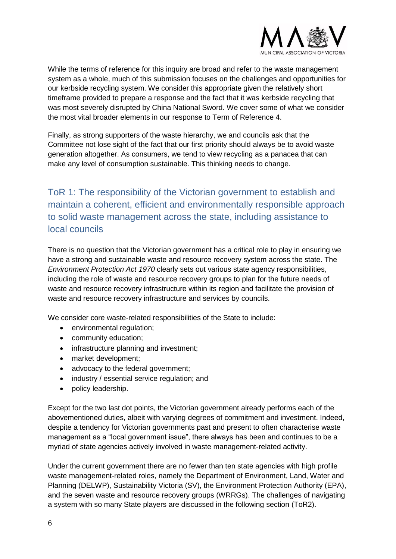

While the terms of reference for this inquiry are broad and refer to the waste management system as a whole, much of this submission focuses on the challenges and opportunities for our kerbside recycling system. We consider this appropriate given the relatively short timeframe provided to prepare a response and the fact that it was kerbside recycling that was most severely disrupted by China National Sword. We cover some of what we consider the most vital broader elements in our response to Term of Reference 4.

<span id="page-5-0"></span>Finally, as strong supporters of the waste hierarchy, we and councils ask that the Committee not lose sight of the fact that our first priority should always be to avoid waste generation altogether. As consumers, we tend to view recycling as a panacea that can make any level of consumption sustainable. This thinking needs to change.

# ToR 1: The responsibility of the Victorian government to establish and maintain a coherent, efficient and environmentally responsible approach to solid waste management across the state, including assistance to local councils

There is no question that the Victorian government has a critical role to play in ensuring we have a strong and sustainable waste and resource recovery system across the state. The *Environment Protection Act 1970* clearly sets out various state agency responsibilities, including the role of waste and resource recovery groups to plan for the future needs of waste and resource recovery infrastructure within its region and facilitate the provision of waste and resource recovery infrastructure and services by councils.

We consider core waste-related responsibilities of the State to include:

- environmental regulation;
- community education;
- infrastructure planning and investment;
- market development;
- advocacy to the federal government:
- industry / essential service regulation; and
- policy leadership.

Except for the two last dot points, the Victorian government already performs each of the abovementioned duties, albeit with varying degrees of commitment and investment. Indeed, despite a tendency for Victorian governments past and present to often characterise waste management as a "local government issue", there always has been and continues to be a myriad of state agencies actively involved in waste management-related activity.

Under the current government there are no fewer than ten state agencies with high profile waste management-related roles, namely the Department of Environment, Land, Water and Planning (DELWP), Sustainability Victoria (SV), the Environment Protection Authority (EPA), and the seven waste and resource recovery groups (WRRGs). The challenges of navigating a system with so many State players are discussed in the following section (ToR2).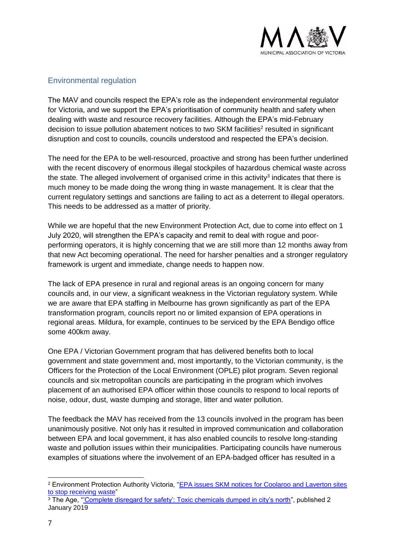

#### <span id="page-6-0"></span>Environmental regulation

The MAV and councils respect the EPA's role as the independent environmental regulator for Victoria, and we support the EPA's prioritisation of community health and safety when dealing with waste and resource recovery facilities. Although the EPA's mid-February decision to issue pollution abatement notices to two SKM facilities<sup>2</sup> resulted in significant disruption and cost to councils, councils understood and respected the EPA's decision.

The need for the EPA to be well-resourced, proactive and strong has been further underlined with the recent discovery of enormous illegal stockpiles of hazardous chemical waste across the state. The alleged involvement of organised crime in this activity<sup>3</sup> indicates that there is much money to be made doing the wrong thing in waste management. It is clear that the current regulatory settings and sanctions are failing to act as a deterrent to illegal operators. This needs to be addressed as a matter of priority.

While we are hopeful that the new Environment Protection Act, due to come into effect on 1 July 2020, will strengthen the EPA's capacity and remit to deal with rogue and poorperforming operators, it is highly concerning that we are still more than 12 months away from that new Act becoming operational. The need for harsher penalties and a stronger regulatory framework is urgent and immediate, change needs to happen now.

The lack of EPA presence in rural and regional areas is an ongoing concern for many councils and, in our view, a significant weakness in the Victorian regulatory system. While we are aware that EPA staffing in Melbourne has grown significantly as part of the EPA transformation program, councils report no or limited expansion of EPA operations in regional areas. Mildura, for example, continues to be serviced by the EPA Bendigo office some 400km away.

One EPA / Victorian Government program that has delivered benefits both to local government and state government and, most importantly, to the Victorian community, is the Officers for the Protection of the Local Environment (OPLE) pilot program. Seven regional councils and six metropolitan councils are participating in the program which involves placement of an authorised EPA officer within those councils to respond to local reports of noise, odour, dust, waste dumping and storage, litter and water pollution.

The feedback the MAV has received from the 13 councils involved in the program has been unanimously positive. Not only has it resulted in improved communication and collaboration between EPA and local government, it has also enabled councils to resolve long-standing waste and pollution issues within their municipalities. Participating councils have numerous examples of situations where the involvement of an EPA-badged officer has resulted in a

<sup>2</sup> Environment Protection Authority Victoria, ["EPA issues SKM notices for Coolaroo and Laverton sites](https://www.epa.vic.gov.au/about-us/news-centre/news-and-updates/news/2019/february/14/epa-issues-skm-notices-for-coolaroo-and-laverton-sites-to-stop-receiving-waste)  [to stop receiving waste"](https://www.epa.vic.gov.au/about-us/news-centre/news-and-updates/news/2019/february/14/epa-issues-skm-notices-for-coolaroo-and-laverton-sites-to-stop-receiving-waste)

<sup>&</sup>lt;sup>3</sup> The Age, "Complete disregard for safety': Toxic chemicals dumped in city's north", published 2 January 2019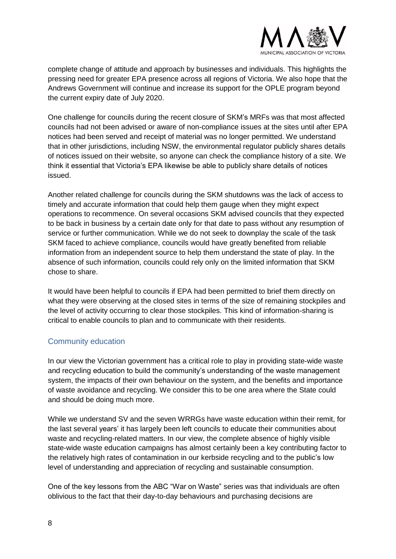

complete change of attitude and approach by businesses and individuals. This highlights the pressing need for greater EPA presence across all regions of Victoria. We also hope that the Andrews Government will continue and increase its support for the OPLE program beyond the current expiry date of July 2020.

One challenge for councils during the recent closure of SKM's MRFs was that most affected councils had not been advised or aware of non-compliance issues at the sites until after EPA notices had been served and receipt of material was no longer permitted. We understand that in other jurisdictions, including NSW, the environmental regulator publicly shares details of notices issued on their website, so anyone can check the compliance history of a site. We think it essential that Victoria's EPA likewise be able to publicly share details of notices issued.

Another related challenge for councils during the SKM shutdowns was the lack of access to timely and accurate information that could help them gauge when they might expect operations to recommence. On several occasions SKM advised councils that they expected to be back in business by a certain date only for that date to pass without any resumption of service or further communication. While we do not seek to downplay the scale of the task SKM faced to achieve compliance, councils would have greatly benefited from reliable information from an independent source to help them understand the state of play. In the absence of such information, councils could rely only on the limited information that SKM chose to share.

<span id="page-7-0"></span>It would have been helpful to councils if EPA had been permitted to brief them directly on what they were observing at the closed sites in terms of the size of remaining stockpiles and the level of activity occurring to clear those stockpiles. This kind of information-sharing is critical to enable councils to plan and to communicate with their residents.

#### Community education

In our view the Victorian government has a critical role to play in providing state-wide waste and recycling education to build the community's understanding of the waste management system, the impacts of their own behaviour on the system, and the benefits and importance of waste avoidance and recycling. We consider this to be one area where the State could and should be doing much more.

While we understand SV and the seven WRRGs have waste education within their remit, for the last several years' it has largely been left councils to educate their communities about waste and recycling-related matters. In our view, the complete absence of highly visible state-wide waste education campaigns has almost certainly been a key contributing factor to the relatively high rates of contamination in our kerbside recycling and to the public's low level of understanding and appreciation of recycling and sustainable consumption.

One of the key lessons from the ABC "War on Waste" series was that individuals are often oblivious to the fact that their day-to-day behaviours and purchasing decisions are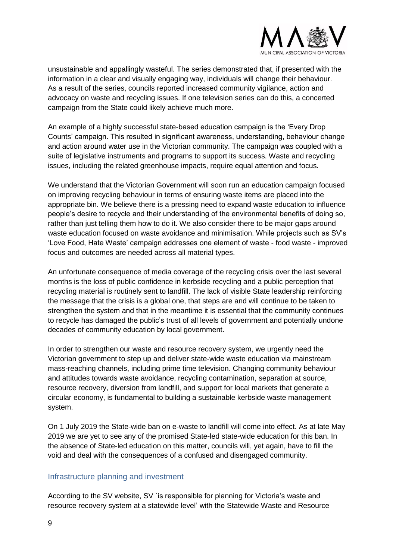

unsustainable and appallingly wasteful. The series demonstrated that, if presented with the information in a clear and visually engaging way, individuals will change their behaviour. As a result of the series, councils reported increased community vigilance, action and advocacy on waste and recycling issues. If one television series can do this, a concerted campaign from the State could likely achieve much more.

An example of a highly successful state-based education campaign is the 'Every Drop Counts' campaign. This resulted in significant awareness, understanding, behaviour change and action around water use in the Victorian community. The campaign was coupled with a suite of legislative instruments and programs to support its success. Waste and recycling issues, including the related greenhouse impacts, require equal attention and focus.

We understand that the Victorian Government will soon run an education campaign focused on improving recycling behaviour in terms of ensuring waste items are placed into the appropriate bin. We believe there is a pressing need to expand waste education to influence people's desire to recycle and their understanding of the environmental benefits of doing so, rather than just telling them how to do it. We also consider there to be major gaps around waste education focused on waste avoidance and minimisation. While projects such as SV's 'Love Food, Hate Waste' campaign addresses one element of waste - food waste - improved focus and outcomes are needed across all material types.

An unfortunate consequence of media coverage of the recycling crisis over the last several months is the loss of public confidence in kerbside recycling and a public perception that recycling material is routinely sent to landfill. The lack of visible State leadership reinforcing the message that the crisis is a global one, that steps are and will continue to be taken to strengthen the system and that in the meantime it is essential that the community continues to recycle has damaged the public's trust of all levels of government and potentially undone decades of community education by local government.

In order to strengthen our waste and resource recovery system, we urgently need the Victorian government to step up and deliver state-wide waste education via mainstream mass-reaching channels, including prime time television. Changing community behaviour and attitudes towards waste avoidance, recycling contamination, separation at source, resource recovery, diversion from landfill, and support for local markets that generate a circular economy, is fundamental to building a sustainable kerbside waste management system.

<span id="page-8-0"></span>On 1 July 2019 the State-wide ban on e-waste to landfill will come into effect. As at late May 2019 we are yet to see any of the promised State-led state-wide education for this ban. In the absence of State-led education on this matter, councils will, yet again, have to fill the void and deal with the consequences of a confused and disengaged community.

#### Infrastructure planning and investment

According to the SV website, SV `is responsible for planning for Victoria's waste and resource recovery system at a statewide level' with the Statewide Waste and Resource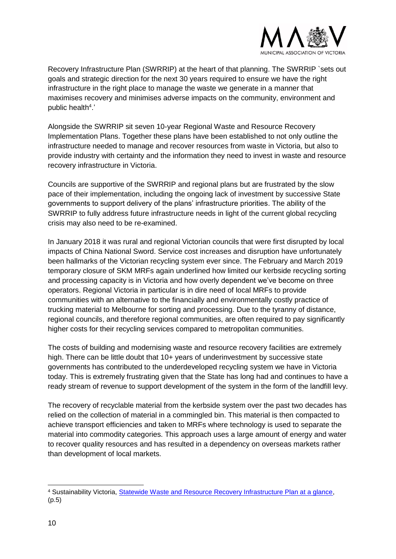

Recovery Infrastructure Plan (SWRRIP) at the heart of that planning. The SWRRIP `sets out goals and strategic direction for the next 30 years required to ensure we have the right infrastructure in the right place to manage the waste we generate in a manner that maximises recovery and minimises adverse impacts on the community, environment and public health<sup>4</sup>.'

Alongside the SWRRIP sit seven 10-year Regional Waste and Resource Recovery Implementation Plans. Together these plans have been established to not only outline the infrastructure needed to manage and recover resources from waste in Victoria, but also to provide industry with certainty and the information they need to invest in waste and resource recovery infrastructure in Victoria.

Councils are supportive of the SWRRIP and regional plans but are frustrated by the slow pace of their implementation, including the ongoing lack of investment by successive State governments to support delivery of the plans' infrastructure priorities. The ability of the SWRRIP to fully address future infrastructure needs in light of the current global recycling crisis may also need to be re-examined.

In January 2018 it was rural and regional Victorian councils that were first disrupted by local impacts of China National Sword. Service cost increases and disruption have unfortunately been hallmarks of the Victorian recycling system ever since. The February and March 2019 temporary closure of SKM MRFs again underlined how limited our kerbside recycling sorting and processing capacity is in Victoria and how overly dependent we've become on three operators. Regional Victoria in particular is in dire need of local MRFs to provide communities with an alternative to the financially and environmentally costly practice of trucking material to Melbourne for sorting and processing. Due to the tyranny of distance, regional councils, and therefore regional communities, are often required to pay significantly higher costs for their recycling services compared to metropolitan communities.

The costs of building and modernising waste and resource recovery facilities are extremely high. There can be little doubt that 10+ years of underinvestment by successive state governments has contributed to the underdeveloped recycling system we have in Victoria today. This is extremely frustrating given that the State has long had and continues to have a ready stream of revenue to support development of the system in the form of the landfill levy.

The recovery of recyclable material from the kerbside system over the past two decades has relied on the collection of material in a commingled bin. This material is then compacted to achieve transport efficiencies and taken to MRFs where technology is used to separate the material into commodity categories. This approach uses a large amount of energy and water to recover quality resources and has resulted in a dependency on overseas markets rather than development of local markets.

<sup>-</sup><sup>4</sup> Sustainability Victoria, [Statewide Waste and Resource Recovery Infrastructure Plan at a glance,](https://www.sustainability.vic.gov.au/about-us/what-we-do/strategy-and-planning/statewide-waste-and-resource-recovery-infrastructure-plan) (p.5)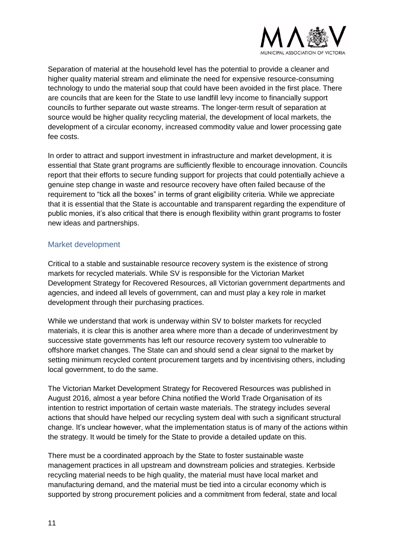

Separation of material at the household level has the potential to provide a cleaner and higher quality material stream and eliminate the need for expensive resource-consuming technology to undo the material soup that could have been avoided in the first place. There are councils that are keen for the State to use landfill levy income to financially support councils to further separate out waste streams. The longer-term result of separation at source would be higher quality recycling material, the development of local markets, the development of a circular economy, increased commodity value and lower processing gate fee costs.

In order to attract and support investment in infrastructure and market development, it is essential that State grant programs are sufficiently flexible to encourage innovation. Councils report that their efforts to secure funding support for projects that could potentially achieve a genuine step change in waste and resource recovery have often failed because of the requirement to "tick all the boxes" in terms of grant eligibility criteria. While we appreciate that it is essential that the State is accountable and transparent regarding the expenditure of public monies, it's also critical that there is enough flexibility within grant programs to foster new ideas and partnerships.

#### <span id="page-10-0"></span>Market development

Critical to a stable and sustainable resource recovery system is the existence of strong markets for recycled materials. While SV is responsible for the Victorian Market Development Strategy for Recovered Resources, all Victorian government departments and agencies, and indeed all levels of government, can and must play a key role in market development through their purchasing practices.

While we understand that work is underway within SV to bolster markets for recycled materials, it is clear this is another area where more than a decade of underinvestment by successive state governments has left our resource recovery system too vulnerable to offshore market changes. The State can and should send a clear signal to the market by setting minimum recycled content procurement targets and by incentivising others, including local government, to do the same.

The Victorian Market Development Strategy for Recovered Resources was published in August 2016, almost a year before China notified the World Trade Organisation of its intention to restrict importation of certain waste materials. The strategy includes several actions that should have helped our recycling system deal with such a significant structural change. It's unclear however, what the implementation status is of many of the actions within the strategy. It would be timely for the State to provide a detailed update on this.

There must be a coordinated approach by the State to foster sustainable waste management practices in all upstream and downstream policies and strategies. Kerbside recycling material needs to be high quality, the material must have local market and manufacturing demand, and the material must be tied into a circular economy which is supported by strong procurement policies and a commitment from federal, state and local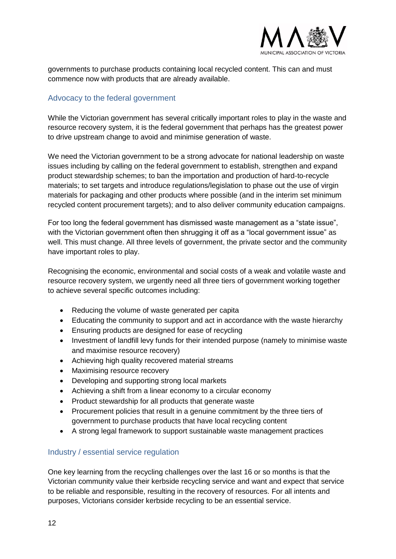

<span id="page-11-0"></span>governments to purchase products containing local recycled content. This can and must commence now with products that are already available.

#### Advocacy to the federal government

While the Victorian government has several critically important roles to play in the waste and resource recovery system, it is the federal government that perhaps has the greatest power to drive upstream change to avoid and minimise generation of waste.

We need the Victorian government to be a strong advocate for national leadership on waste issues including by calling on the federal government to establish, strengthen and expand product stewardship schemes; to ban the importation and production of hard-to-recycle materials; to set targets and introduce regulations/legislation to phase out the use of virgin materials for packaging and other products where possible (and in the interim set minimum recycled content procurement targets); and to also deliver community education campaigns.

For too long the federal government has dismissed waste management as a "state issue", with the Victorian government often then shrugging it off as a "local government issue" as well. This must change. All three levels of government, the private sector and the community have important roles to play.

Recognising the economic, environmental and social costs of a weak and volatile waste and resource recovery system, we urgently need all three tiers of government working together to achieve several specific outcomes including:

- Reducing the volume of waste generated per capita
- Educating the community to support and act in accordance with the waste hierarchy
- Ensuring products are designed for ease of recycling
- Investment of landfill levy funds for their intended purpose (namely to minimise waste and maximise resource recovery)
- Achieving high quality recovered material streams
- Maximising resource recovery
- Developing and supporting strong local markets
- Achieving a shift from a linear economy to a circular economy
- Product stewardship for all products that generate waste
- <span id="page-11-1"></span>• Procurement policies that result in a genuine commitment by the three tiers of government to purchase products that have local recycling content
- A strong legal framework to support sustainable waste management practices

#### Industry / essential service regulation

One key learning from the recycling challenges over the last 16 or so months is that the Victorian community value their kerbside recycling service and want and expect that service to be reliable and responsible, resulting in the recovery of resources. For all intents and purposes, Victorians consider kerbside recycling to be an essential service.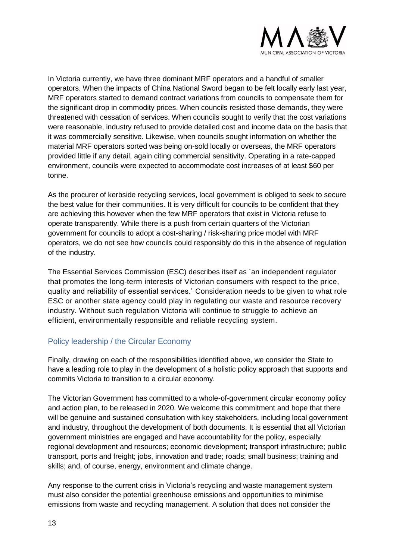

In Victoria currently, we have three dominant MRF operators and a handful of smaller operators. When the impacts of China National Sword began to be felt locally early last year, MRF operators started to demand contract variations from councils to compensate them for the significant drop in commodity prices. When councils resisted those demands, they were threatened with cessation of services. When councils sought to verify that the cost variations were reasonable, industry refused to provide detailed cost and income data on the basis that it was commercially sensitive. Likewise, when councils sought information on whether the material MRF operators sorted was being on-sold locally or overseas, the MRF operators provided little if any detail, again citing commercial sensitivity. Operating in a rate-capped environment, councils were expected to accommodate cost increases of at least \$60 per tonne.

As the procurer of kerbside recycling services, local government is obliged to seek to secure the best value for their communities. It is very difficult for councils to be confident that they are achieving this however when the few MRF operators that exist in Victoria refuse to operate transparently. While there is a push from certain quarters of the Victorian government for councils to adopt a cost-sharing / risk-sharing price model with MRF operators, we do not see how councils could responsibly do this in the absence of regulation of the industry.

<span id="page-12-0"></span>The Essential Services Commission (ESC) describes itself as `an independent regulator that promotes the long-term interests of Victorian consumers with respect to the price, quality and reliability of essential services.' Consideration needs to be given to what role ESC or another state agency could play in regulating our waste and resource recovery industry. Without such regulation Victoria will continue to struggle to achieve an efficient, environmentally responsible and reliable recycling system.

#### Policy leadership / the Circular Economy

Finally, drawing on each of the responsibilities identified above, we consider the State to have a leading role to play in the development of a holistic policy approach that supports and commits Victoria to transition to a circular economy.

The Victorian Government has committed to a whole-of-government circular economy policy and action plan, to be released in 2020. We welcome this commitment and hope that there will be genuine and sustained consultation with key stakeholders, including local government and industry, throughout the development of both documents. It is essential that all Victorian government ministries are engaged and have accountability for the policy, especially regional development and resources; economic development; transport infrastructure; public transport, ports and freight; jobs, innovation and trade; roads; small business; training and skills; and, of course, energy, environment and climate change.

Any response to the current crisis in Victoria's recycling and waste management system must also consider the potential greenhouse emissions and opportunities to minimise emissions from waste and recycling management. A solution that does not consider the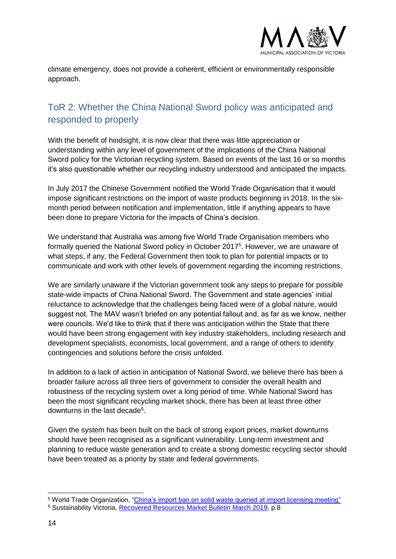

<span id="page-13-0"></span>climate emergency, does not provide a coherent, efficient or environmentally responsible approach.

# ToR 2: Whether the China National Sword policy was anticipated and responded to properly

With the benefit of hindsight, it is now clear that there was little appreciation or understanding within any level of government of the implications of the China National Sword policy for the Victorian recycling system. Based on events of the last 16 or so months it's also questionable whether our recycling industry understood and anticipated the impacts.

In July 2017 the Chinese Government notified the World Trade Organisation that it would impose significant restrictions on the import of waste products beginning in 2018. In the sixmonth period between notification and implementation, little if anything appears to have been done to prepare Victoria for the impacts of China's decision.

We understand that Australia was among five World Trade Organisation members who formally queried the National Sword policy in October 2017<sup>5</sup>. However, we are unaware of what steps, if any, the Federal Government then took to plan for potential impacts or to communicate and work with other levels of government regarding the incoming restrictions.

We are similarly unaware if the Victorian government took any steps to prepare for possible state-wide impacts of China National Sword. The Government and state agencies' initial reluctance to acknowledge that the challenges being faced were of a global nature, would suggest not. The MAV wasn't briefed on any potential fallout and, as far as we know, neither were councils. We'd like to think that if there was anticipation within the State that there would have been strong engagement with key industry stakeholders, including research and development specialists, economists, local government, and a range of others to identify contingencies and solutions before the crisis unfolded.

In addition to a lack of action in anticipation of National Sword, we believe there has been a broader failure across all three tiers of government to consider the overall health and robustness of the recycling system over a long period of time. While National Sword has been the most significant recycling market shock, there has been at least three other downturns in the last decade<sup>6</sup>.

Given the system has been built on the back of strong export prices, market downturns should have been recognised as a significant vulnerability. Long-term investment and planning to reduce waste generation and to create a strong domestic recycling sector should have been treated as a priority by state and federal governments.

<sup>5</sup> World Trade Organization, ["China's import ban on solid waste queried at import licensing meeting"](https://www.wto.org/english/news_e/news17_e/impl_03oct17_e.htm) <sup>6</sup> Sustainability Victoria, [Recovered Resources Market Bulletin March 2019,](https://www.sustainability.vic.gov.au/-/media/SV/Publications/Business/Investment-facilitation/Resource-Recovery-Market-Bulletins/Resources-Recovery-Market-Bulletin-March-2019.pdf) p.8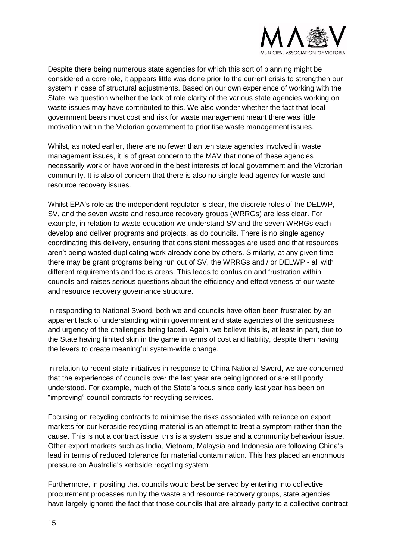

Despite there being numerous state agencies for which this sort of planning might be considered a core role, it appears little was done prior to the current crisis to strengthen our system in case of structural adjustments. Based on our own experience of working with the State, we question whether the lack of role clarity of the various state agencies working on waste issues may have contributed to this. We also wonder whether the fact that local government bears most cost and risk for waste management meant there was little motivation within the Victorian government to prioritise waste management issues.

Whilst, as noted earlier, there are no fewer than ten state agencies involved in waste management issues, it is of great concern to the MAV that none of these agencies necessarily work or have worked in the best interests of local government and the Victorian community. It is also of concern that there is also no single lead agency for waste and resource recovery issues.

Whilst EPA's role as the independent regulator is clear, the discrete roles of the DELWP, SV, and the seven waste and resource recovery groups (WRRGs) are less clear. For example, in relation to waste education we understand SV and the seven WRRGs each develop and deliver programs and projects, as do councils. There is no single agency coordinating this delivery, ensuring that consistent messages are used and that resources aren't being wasted duplicating work already done by others. Similarly, at any given time there may be grant programs being run out of SV, the WRRGs and / or DELWP - all with different requirements and focus areas. This leads to confusion and frustration within councils and raises serious questions about the efficiency and effectiveness of our waste and resource recovery governance structure.

In responding to National Sword, both we and councils have often been frustrated by an apparent lack of understanding within government and state agencies of the seriousness and urgency of the challenges being faced. Again, we believe this is, at least in part, due to the State having limited skin in the game in terms of cost and liability, despite them having the levers to create meaningful system-wide change.

In relation to recent state initiatives in response to China National Sword, we are concerned that the experiences of councils over the last year are being ignored or are still poorly understood. For example, much of the State's focus since early last year has been on "improving" council contracts for recycling services.

Focusing on recycling contracts to minimise the risks associated with reliance on export markets for our kerbside recycling material is an attempt to treat a symptom rather than the cause. This is not a contract issue, this is a system issue and a community behaviour issue. Other export markets such as India, Vietnam, Malaysia and Indonesia are following China's lead in terms of reduced tolerance for material contamination. This has placed an enormous pressure on Australia's kerbside recycling system.

Furthermore, in positing that councils would best be served by entering into collective procurement processes run by the waste and resource recovery groups, state agencies have largely ignored the fact that those councils that are already party to a collective contract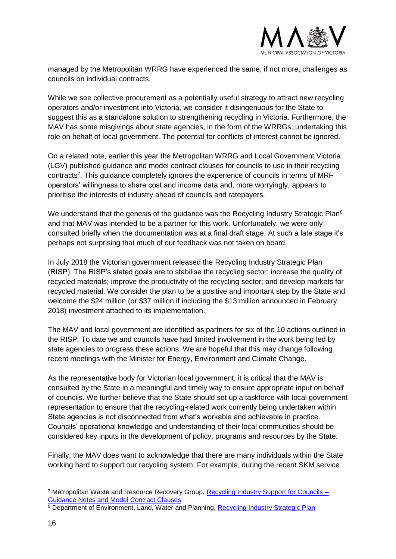

managed by the Metropolitan WRRG have experienced the same, if not more, challenges as councils on individual contracts.

While we see collective procurement as a potentially useful strategy to attract new recycling operators and/or investment into Victoria, we consider it disingenuous for the State to suggest this as a standalone solution to strengthening recycling in Victoria. Furthermore, the MAV has some misgivings about state agencies, in the form of the WRRGs, undertaking this role on behalf of local government. The potential for conflicts of interest cannot be ignored.

On a related note, earlier this year the Metropolitan WRRG and Local Government Victoria (LGV) published guidance and model contract clauses for councils to use in their recycling contracts<sup>7</sup>. This guidance completely ignores the experience of councils in terms of MRF operators' willingness to share cost and income data and, more worryingly, appears to prioritise the interests of industry ahead of councils and ratepayers.

We understand that the genesis of the guidance was the Recycling Industry Strategic Plan<sup>8</sup> and that MAV was intended to be a partner for this work. Unfortunately, we were only consulted briefly when the documentation was at a final draft stage. At such a late stage it's perhaps not surprising that much of our feedback was not taken on board.

In July 2018 the Victorian government released the Recycling Industry Strategic Plan (RISP). The RISP's stated goals are to stabilise the recycling sector; increase the quality of recycled materials; improve the productivity of the recycling sector; and develop markets for recycled material. We consider the plan to be a positive and important step by the State and welcome the \$24 million (or \$37 million if including the \$13 million announced in February 2018) investment attached to its implementation.

The MAV and local government are identified as partners for six of the 10 actions outlined in the RISP. To date we and councils have had limited involvement in the work being led by state agencies to progress these actions. We are hopeful that this may change following recent meetings with the Minister for Energy, Environment and Climate Change.

As the representative body for Victorian local government, it is critical that the MAV is consulted by the State in a meaningful and timely way to ensure appropriate input on behalf of councils. We further believe that the State should set up a taskforce with local government representation to ensure that the recycling-related work currently being undertaken within State agencies is not disconnected from what's workable and achievable in practice. Councils' operational knowledge and understanding of their local communities should be considered key inputs in the development of policy, programs and resources by the State.

Finally, the MAV does want to acknowledge that there are many individuals within the State working hard to support our recycling system. For example, during the recent SKM service

<sup>&</sup>lt;sup>7</sup> Metropolitan Waste and Resource Recovery Group, Recycling Industry Support for Councils -[Guidance Notes and Model Contract Clauses](https://www.mwrrg.vic.gov.au/assets/resource-files/Recycling-Industry-Support-for-Councils-120219-.pdf)

<sup>&</sup>lt;sup>8</sup> Department of Environment, Land, Water and Planning, [Recycling Industry Strategic Plan](https://www.environment.vic.gov.au/__data/assets/pdf_file/0013/326110/Recycling-Industry-Strategic-Plan.pdf)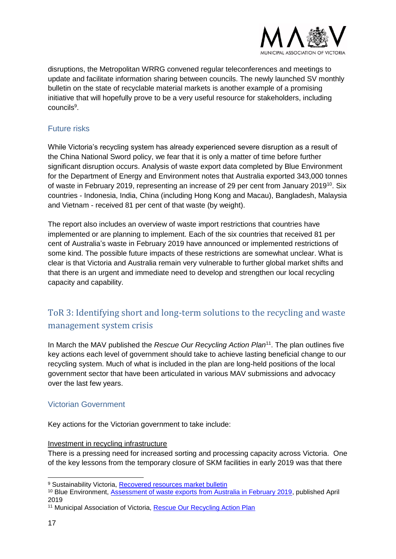

<span id="page-16-0"></span>disruptions, the Metropolitan WRRG convened regular teleconferences and meetings to update and facilitate information sharing between councils. The newly launched SV monthly bulletin on the state of recyclable material markets is another example of a promising initiative that will hopefully prove to be a very useful resource for stakeholders, including councils<sup>9</sup>.

#### Future risks

While Victoria's recycling system has already experienced severe disruption as a result of the China National Sword policy, we fear that it is only a matter of time before further significant disruption occurs. Analysis of waste export data completed by Blue Environment for the Department of Energy and Environment notes that Australia exported 343,000 tonnes of waste in February 2019, representing an increase of 29 per cent from January 2019<sup>10</sup>. Six countries - Indonesia, India, China (including Hong Kong and Macau), Bangladesh, Malaysia and Vietnam - received 81 per cent of that waste (by weight).

The report also includes an overview of waste import restrictions that countries have implemented or are planning to implement. Each of the six countries that received 81 per cent of Australia's waste in February 2019 have announced or implemented restrictions of some kind. The possible future impacts of these restrictions are somewhat unclear. What is clear is that Victoria and Australia remain very vulnerable to further global market shifts and that there is an urgent and immediate need to develop and strengthen our local recycling capacity and capability.

# <span id="page-16-1"></span>ToR 3: Identifying short and long-term solutions to the recycling and waste management system crisis

<span id="page-16-2"></span>In March the MAV published the *Rescue Our Recycling Action Plan*<sup>11</sup>. The plan outlines five key actions each level of government should take to achieve lasting beneficial change to our recycling system. Much of what is included in the plan are long-held positions of the local government sector that have been articulated in various MAV submissions and advocacy over the last few years.

#### Victorian Government

Key actions for the Victorian government to take include:

#### Investment in recycling infrastructure

There is a pressing need for increased sorting and processing capacity across Victoria. One of the key lessons from the temporary closure of SKM facilities in early 2019 was that there

<sup>9</sup> Sustainability Victoria, [Recovered resources market bulletin](https://www.sustainability.vic.gov.au/Business/Investment-facilitation/Recovered-resources-market-bulletin)

<sup>10</sup> Blue Environment, [Assessment of waste exports from Australia in February 2019,](https://www.environment.gov.au/system/files/resources/2f81157f-9cfd-41ce-b07b-1fa4f1804eca/files/waste-export-summary-feb-2019.pdf) published April 2019

<sup>11</sup> Municipal Association of Victoria, [Rescue Our Recycling Action Plan](https://www.mav.asn.au/news-resources/campaigns/rescue-our-recycling)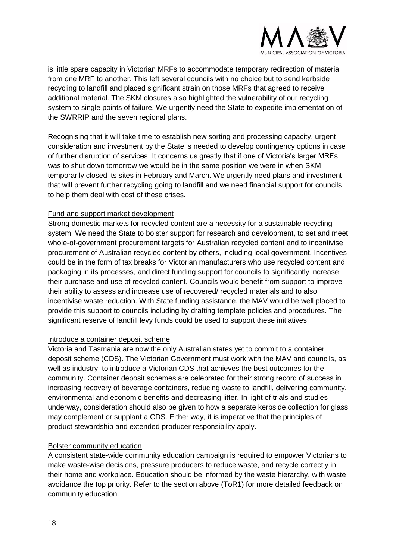

is little spare capacity in Victorian MRFs to accommodate temporary redirection of material from one MRF to another. This left several councils with no choice but to send kerbside recycling to landfill and placed significant strain on those MRFs that agreed to receive additional material. The SKM closures also highlighted the vulnerability of our recycling system to single points of failure. We urgently need the State to expedite implementation of the SWRRIP and the seven regional plans.

Recognising that it will take time to establish new sorting and processing capacity, urgent consideration and investment by the State is needed to develop contingency options in case of further disruption of services. It concerns us greatly that if one of Victoria's larger MRFs was to shut down tomorrow we would be in the same position we were in when SKM temporarily closed its sites in February and March. We urgently need plans and investment that will prevent further recycling going to landfill and we need financial support for councils to help them deal with cost of these crises.

#### Fund and support market development

Strong domestic markets for recycled content are a necessity for a sustainable recycling system. We need the State to bolster support for research and development, to set and meet whole-of-government procurement targets for Australian recycled content and to incentivise procurement of Australian recycled content by others, including local government. Incentives could be in the form of tax breaks for Victorian manufacturers who use recycled content and packaging in its processes, and direct funding support for councils to significantly increase their purchase and use of recycled content. Councils would benefit from support to improve their ability to assess and increase use of recovered/ recycled materials and to also incentivise waste reduction. With State funding assistance, the MAV would be well placed to provide this support to councils including by drafting template policies and procedures. The significant reserve of landfill levy funds could be used to support these initiatives.

#### Introduce a container deposit scheme

Victoria and Tasmania are now the only Australian states yet to commit to a container deposit scheme (CDS). The Victorian Government must work with the MAV and councils, as well as industry, to introduce a Victorian CDS that achieves the best outcomes for the community. Container deposit schemes are celebrated for their strong record of success in increasing recovery of beverage containers, reducing waste to landfill, delivering community, environmental and economic benefits and decreasing litter. In light of trials and studies underway, consideration should also be given to how a separate kerbside collection for glass may complement or supplant a CDS. Either way, it is imperative that the principles of product stewardship and extended producer responsibility apply.

#### Bolster community education

A consistent state-wide community education campaign is required to empower Victorians to make waste-wise decisions, pressure producers to reduce waste, and recycle correctly in their home and workplace. Education should be informed by the waste hierarchy, with waste avoidance the top priority. Refer to the section above (ToR1) for more detailed feedback on community education.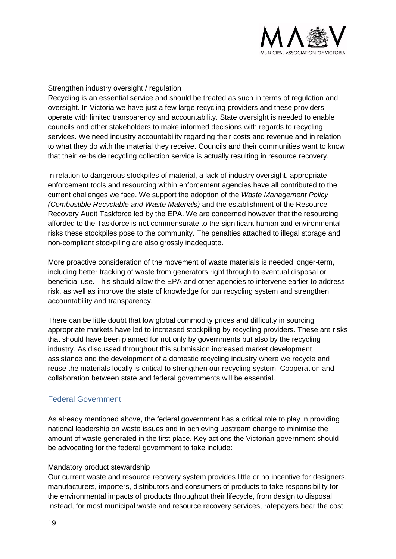

#### Strengthen industry oversight / regulation

Recycling is an essential service and should be treated as such in terms of regulation and oversight. In Victoria we have just a few large recycling providers and these providers operate with limited transparency and accountability. State oversight is needed to enable councils and other stakeholders to make informed decisions with regards to recycling services. We need industry accountability regarding their costs and revenue and in relation to what they do with the material they receive. Councils and their communities want to know that their kerbside recycling collection service is actually resulting in resource recovery.

In relation to dangerous stockpiles of material, a lack of industry oversight, appropriate enforcement tools and resourcing within enforcement agencies have all contributed to the current challenges we face. We support the adoption of the *Waste Management Policy (Combustible Recyclable and Waste Materials)* and the establishment of the Resource Recovery Audit Taskforce led by the EPA. We are concerned however that the resourcing afforded to the Taskforce is not commensurate to the significant human and environmental risks these stockpiles pose to the community. The penalties attached to illegal storage and non-compliant stockpiling are also grossly inadequate.

More proactive consideration of the movement of waste materials is needed longer-term, including better tracking of waste from generators right through to eventual disposal or beneficial use. This should allow the EPA and other agencies to intervene earlier to address risk, as well as improve the state of knowledge for our recycling system and strengthen accountability and transparency.

There can be little doubt that low global commodity prices and difficulty in sourcing appropriate markets have led to increased stockpiling by recycling providers. These are risks that should have been planned for not only by governments but also by the recycling industry. As discussed throughout this submission increased market development assistance and the development of a domestic recycling industry where we recycle and reuse the materials locally is critical to strengthen our recycling system. Cooperation and collaboration between state and federal governments will be essential.

#### <span id="page-18-0"></span>Federal Government

As already mentioned above, the federal government has a critical role to play in providing national leadership on waste issues and in achieving upstream change to minimise the amount of waste generated in the first place. Key actions the Victorian government should be advocating for the federal government to take include:

#### Mandatory product stewardship

Our current waste and resource recovery system provides little or no incentive for designers, manufacturers, importers, distributors and consumers of products to take responsibility for the environmental impacts of products throughout their lifecycle, from design to disposal. Instead, for most municipal waste and resource recovery services, ratepayers bear the cost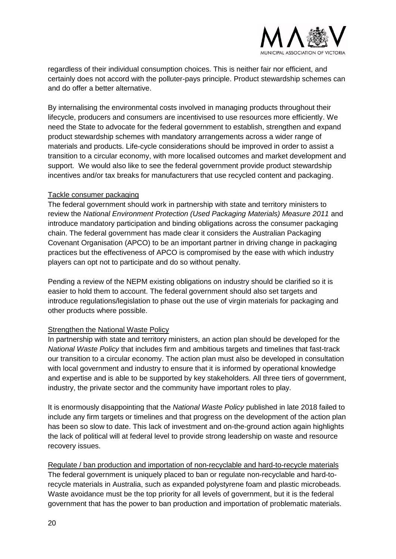

regardless of their individual consumption choices. This is neither fair nor efficient, and certainly does not accord with the polluter-pays principle. Product stewardship schemes can and do offer a better alternative.

By internalising the environmental costs involved in managing products throughout their lifecycle, producers and consumers are incentivised to use resources more efficiently. We need the State to advocate for the federal government to establish, strengthen and expand product stewardship schemes with mandatory arrangements across a wider range of materials and products. Life-cycle considerations should be improved in order to assist a transition to a circular economy, with more localised outcomes and market development and support. We would also like to see the federal government provide product stewardship incentives and/or tax breaks for manufacturers that use recycled content and packaging.

#### Tackle consumer packaging

The federal government should work in partnership with state and territory ministers to review the *National Environment Protection (Used Packaging Materials) Measure 2011* and introduce mandatory participation and binding obligations across the consumer packaging chain. The federal government has made clear it considers the Australian Packaging Covenant Organisation (APCO) to be an important partner in driving change in packaging practices but the effectiveness of APCO is compromised by the ease with which industry players can opt not to participate and do so without penalty.

Pending a review of the NEPM existing obligations on industry should be clarified so it is easier to hold them to account. The federal government should also set targets and introduce regulations/legislation to phase out the use of virgin materials for packaging and other products where possible.

#### Strengthen the National Waste Policy

In partnership with state and territory ministers, an action plan should be developed for the *National Waste Policy* that includes firm and ambitious targets and timelines that fast-track our transition to a circular economy. The action plan must also be developed in consultation with local government and industry to ensure that it is informed by operational knowledge and expertise and is able to be supported by key stakeholders. All three tiers of government, industry, the private sector and the community have important roles to play.

It is enormously disappointing that the *National Waste Policy* published in late 2018 failed to include any firm targets or timelines and that progress on the development of the action plan has been so slow to date. This lack of investment and on-the-ground action again highlights the lack of political will at federal level to provide strong leadership on waste and resource recovery issues.

Regulate / ban production and importation of non-recyclable and hard-to-recycle materials The federal government is uniquely placed to ban or regulate non-recyclable and hard-torecycle materials in Australia, such as expanded polystyrene foam and plastic microbeads. Waste avoidance must be the top priority for all levels of government, but it is the federal government that has the power to ban production and importation of problematic materials.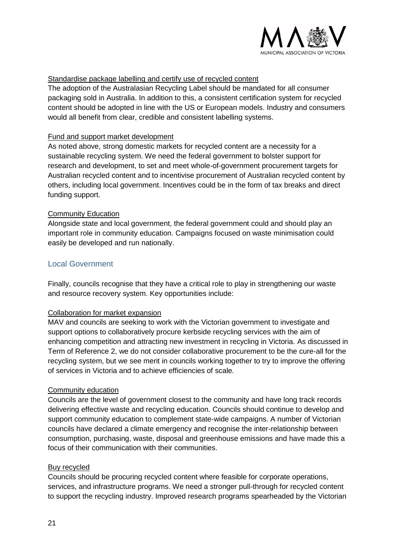

#### Standardise package labelling and certify use of recycled content

The adoption of the Australasian Recycling Label should be mandated for all consumer packaging sold in Australia. In addition to this, a consistent certification system for recycled content should be adopted in line with the US or European models. Industry and consumers would all benefit from clear, credible and consistent labelling systems.

#### Fund and support market development

As noted above, strong domestic markets for recycled content are a necessity for a sustainable recycling system. We need the federal government to bolster support for research and development, to set and meet whole-of-government procurement targets for Australian recycled content and to incentivise procurement of Australian recycled content by others, including local government. Incentives could be in the form of tax breaks and direct funding support.

#### Community Education

<span id="page-20-0"></span>Alongside state and local government, the federal government could and should play an important role in community education. Campaigns focused on waste minimisation could easily be developed and run nationally.

#### Local Government

Finally, councils recognise that they have a critical role to play in strengthening our waste and resource recovery system. Key opportunities include:

#### Collaboration for market expansion

MAV and councils are seeking to work with the Victorian government to investigate and support options to collaboratively procure kerbside recycling services with the aim of enhancing competition and attracting new investment in recycling in Victoria. As discussed in Term of Reference 2, we do not consider collaborative procurement to be the cure-all for the recycling system, but we see merit in councils working together to try to improve the offering of services in Victoria and to achieve efficiencies of scale.

#### Community education

Councils are the level of government closest to the community and have long track records delivering effective waste and recycling education. Councils should continue to develop and support community education to complement state-wide campaigns. A number of Victorian councils have declared a climate emergency and recognise the inter-relationship between consumption, purchasing, waste, disposal and greenhouse emissions and have made this a focus of their communication with their communities.

#### Buy recycled

Councils should be procuring recycled content where feasible for corporate operations, services, and infrastructure programs. We need a stronger pull-through for recycled content to support the recycling industry. Improved research programs spearheaded by the Victorian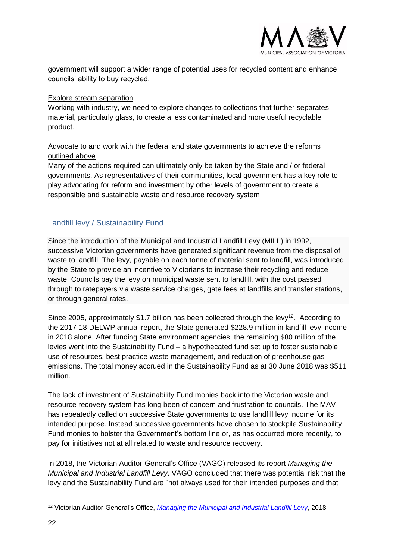

government will support a wider range of potential uses for recycled content and enhance councils' ability to buy recycled.

#### Explore stream separation

Working with industry, we need to explore changes to collections that further separates material, particularly glass, to create a less contaminated and more useful recyclable product.

#### Advocate to and work with the federal and state governments to achieve the reforms outlined above

<span id="page-21-0"></span>Many of the actions required can ultimately only be taken by the State and / or federal governments. As representatives of their communities, local government has a key role to play advocating for reform and investment by other levels of government to create a responsible and sustainable waste and resource recovery system

#### Landfill levy / Sustainability Fund

Since the introduction of the Municipal and Industrial Landfill Levy (MILL) in 1992, successive Victorian governments have generated significant revenue from the disposal of waste to landfill. The levy, payable on each tonne of material sent to landfill, was introduced by the State to provide an incentive to Victorians to increase their recycling and reduce waste. Councils pay the levy on municipal waste sent to landfill, with the cost passed through to ratepayers via waste service charges, gate fees at landfills and transfer stations, or through general rates.

Since 2005, approximately \$1.7 billion has been collected through the levy<sup>12</sup>. According to the 2017-18 DELWP annual report, the State generated \$228.9 million in landfill levy income in 2018 alone. After funding State environment agencies, the remaining \$80 million of the levies went into the Sustainability Fund – a hypothecated fund set up to foster sustainable use of resources, best practice waste management, and reduction of greenhouse gas emissions. The total money accrued in the Sustainability Fund as at 30 June 2018 was \$511 million.

The lack of investment of Sustainability Fund monies back into the Victorian waste and resource recovery system has long been of concern and frustration to councils. The MAV has repeatedly called on successive State governments to use landfill levy income for its intended purpose. Instead successive governments have chosen to stockpile Sustainability Fund monies to bolster the Government's bottom line or, as has occurred more recently, to pay for initiatives not at all related to waste and resource recovery.

In 2018, the Victorian Auditor-General's Office (VAGO) released its report *Managing the Municipal and Industrial Landfill Levy*. VAGO concluded that there was potential risk that the levy and the Sustainability Fund are `not always used for their intended purposes and that

<sup>12</sup> Victorian Auditor-General's Office, *[Managing the Municipal and Industrial Landfill Levy](https://www.audit.vic.gov.au/report/managing-municipal-and-industrial-landfill-levy)*, 2018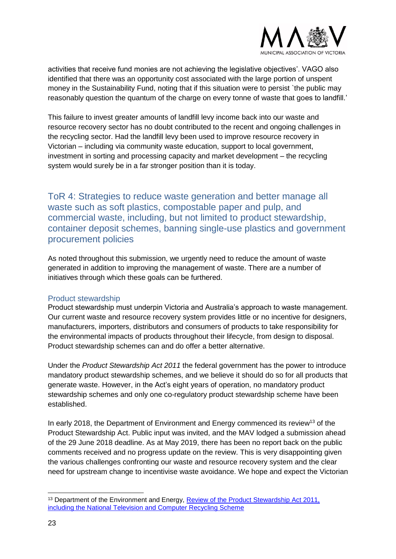

activities that receive fund monies are not achieving the legislative objectives'. VAGO also identified that there was an opportunity cost associated with the large portion of unspent money in the Sustainability Fund, noting that if this situation were to persist `the public may reasonably question the quantum of the charge on every tonne of waste that goes to landfill.'

<span id="page-22-0"></span>This failure to invest greater amounts of landfill levy income back into our waste and resource recovery sector has no doubt contributed to the recent and ongoing challenges in the recycling sector. Had the landfill levy been used to improve resource recovery in Victorian – including via community waste education, support to local government, investment in sorting and processing capacity and market development – the recycling system would surely be in a far stronger position than it is today.

ToR 4: Strategies to reduce waste generation and better manage all waste such as soft plastics, compostable paper and pulp, and commercial waste, including, but not limited to product stewardship, container deposit schemes, banning single-use plastics and government procurement policies

<span id="page-22-1"></span>As noted throughout this submission, we urgently need to reduce the amount of waste generated in addition to improving the management of waste. There are a number of initiatives through which these goals can be furthered.

#### Product stewardship

Product stewardship must underpin Victoria and Australia's approach to waste management. Our current waste and resource recovery system provides little or no incentive for designers, manufacturers, importers, distributors and consumers of products to take responsibility for the environmental impacts of products throughout their lifecycle, from design to disposal. Product stewardship schemes can and do offer a better alternative.

Under the *Product Stewardship Act 2011* the federal government has the power to introduce mandatory product stewardship schemes, and we believe it should do so for all products that generate waste. However, in the Act's eight years of operation, no mandatory product stewardship schemes and only one co-regulatory product stewardship scheme have been established.

In early 2018, the Department of Environment and Energy commenced its review<sup>13</sup> of the Product Stewardship Act. Public input was invited, and the MAV lodged a submission ahead of the 29 June 2018 deadline. As at May 2019, there has been no report back on the public comments received and no progress update on the review. This is very disappointing given the various challenges confronting our waste and resource recovery system and the clear need for upstream change to incentivise waste avoidance. We hope and expect the Victorian

<sup>&</sup>lt;sup>13</sup> Department of the Environment and Energy, Review of the Product Stewardship Act 2011, [including the National Television and Computer Recycling Scheme](http://www.environment.gov.au/protection/waste-resource-recovery/product-stewardship/consultation-review-ps-act-incl-ntcrs)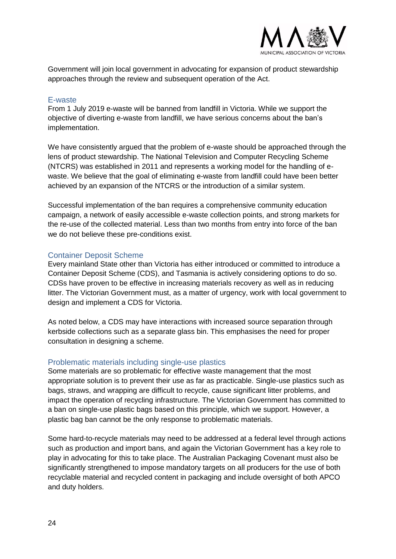

<span id="page-23-0"></span>Government will join local government in advocating for expansion of product stewardship approaches through the review and subsequent operation of the Act.

#### E-waste

From 1 July 2019 e-waste will be banned from landfill in Victoria. While we support the objective of diverting e-waste from landfill, we have serious concerns about the ban's implementation.

We have consistently argued that the problem of e-waste should be approached through the lens of product stewardship. The National Television and Computer Recycling Scheme (NTCRS) was established in 2011 and represents a working model for the handling of ewaste. We believe that the goal of eliminating e-waste from landfill could have been better achieved by an expansion of the NTCRS or the introduction of a similar system.

<span id="page-23-1"></span>Successful implementation of the ban requires a comprehensive community education campaign, a network of easily accessible e-waste collection points, and strong markets for the re-use of the collected material. Less than two months from entry into force of the ban we do not believe these pre-conditions exist.

#### Container Deposit Scheme

Every mainland State other than Victoria has either introduced or committed to introduce a Container Deposit Scheme (CDS), and Tasmania is actively considering options to do so. CDSs have proven to be effective in increasing materials recovery as well as in reducing litter. The Victorian Government must, as a matter of urgency, work with local government to design and implement a CDS for Victoria.

<span id="page-23-2"></span>As noted below, a CDS may have interactions with increased source separation through kerbside collections such as a separate glass bin. This emphasises the need for proper consultation in designing a scheme.

#### Problematic materials including single-use plastics

Some materials are so problematic for effective waste management that the most appropriate solution is to prevent their use as far as practicable. Single-use plastics such as bags, straws, and wrapping are difficult to recycle, cause significant litter problems, and impact the operation of recycling infrastructure. The Victorian Government has committed to a ban on single-use plastic bags based on this principle, which we support. However, a plastic bag ban cannot be the only response to problematic materials.

Some hard-to-recycle materials may need to be addressed at a federal level through actions such as production and import bans, and again the Victorian Government has a key role to play in advocating for this to take place. The Australian Packaging Covenant must also be significantly strengthened to impose mandatory targets on all producers for the use of both recyclable material and recycled content in packaging and include oversight of both APCO and duty holders.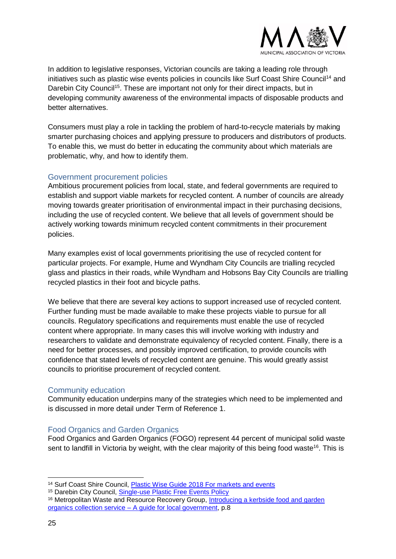

In addition to legislative responses, Victorian councils are taking a leading role through initiatives such as plastic wise events policies in councils like Surf Coast Shire Council<sup>14</sup> and Darebin City Council<sup>15</sup>. These are important not only for their direct impacts, but in developing community awareness of the environmental impacts of disposable products and better alternatives.

<span id="page-24-0"></span>Consumers must play a role in tackling the problem of hard-to-recycle materials by making smarter purchasing choices and applying pressure to producers and distributors of products. To enable this, we must do better in educating the community about which materials are problematic, why, and how to identify them.

#### Government procurement policies

Ambitious procurement policies from local, state, and federal governments are required to establish and support viable markets for recycled content. A number of councils are already moving towards greater prioritisation of environmental impact in their purchasing decisions, including the use of recycled content. We believe that all levels of government should be actively working towards minimum recycled content commitments in their procurement policies.

Many examples exist of local governments prioritising the use of recycled content for particular projects. For example, Hume and Wyndham City Councils are trialling recycled glass and plastics in their roads, while Wyndham and Hobsons Bay City Councils are trialling recycled plastics in their foot and bicycle paths.

We believe that there are several key actions to support increased use of recycled content. Further funding must be made available to make these projects viable to pursue for all councils. Regulatory specifications and requirements must enable the use of recycled content where appropriate. In many cases this will involve working with industry and researchers to validate and demonstrate equivalency of recycled content. Finally, there is a need for better processes, and possibly improved certification, to provide councils with confidence that stated levels of recycled content are genuine. This would greatly assist councils to prioritise procurement of recycled content.

#### <span id="page-24-1"></span>Community education

<span id="page-24-2"></span>Community education underpins many of the strategies which need to be implemented and is discussed in more detail under Term of Reference 1.

#### Food Organics and Garden Organics

<span id="page-24-3"></span>Food Organics and Garden Organics (FOGO) represent 44 percent of municipal solid waste sent to landfill in Victoria by weight, with the clear majority of this being food waste<sup>16</sup>. This is

<sup>15</sup> Darebin City Council, [Single-use Plastic Free Events Policy](http://www.darebin.vic.gov.au/-/media/cityofdarebin/Files/YourCouncil/HowCouncilWorks/CouncilPlan/CouncilStrategies/Sustainable-and-Resilient-Neighbourhoods/Single-UsePlasticFreeEventsPolicy-February2018.ashx)

<sup>&</sup>lt;sup>14</sup> Surf Coast Shire Council, [Plastic Wise Guide 2018 For markets and events](file:///C:/Users/ebreese/Desktop/Surf-Coast-Shire-Plastic-Wise-Guide-for-Events-and-Markets_May-2018.pdf)

<sup>&</sup>lt;sup>16</sup> Metropolitan Waste and Resource Recovery Group, Introducing a kerbside food and garden organics collection service – [A guide for local government,](https://mwrrg.vic.gov.au/assets/resource-files/MWRRG-FOGO-Text-Interactive-20181119.pdf) p.8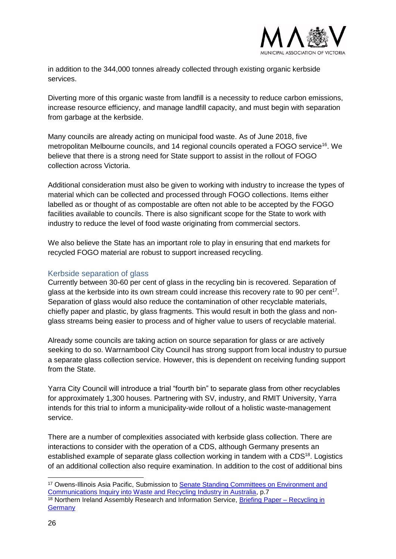

in addition to the 344,000 tonnes already collected through existing organic kerbside services.

Diverting more of this organic waste from landfill is a necessity to reduce carbon emissions, increase resource efficiency, and manage landfill capacity, and must begin with separation from garbage at the kerbside.

Many councils are already acting on municipal food waste. As of June 2018, five metropolitan Melbourne councils, and 14 regional councils operated a FOGO service<sup>[16](#page-24-3)</sup>. We believe that there is a strong need for State support to assist in the rollout of FOGO collection across Victoria.

Additional consideration must also be given to working with industry to increase the types of material which can be collected and processed through FOGO collections. Items either labelled as or thought of as compostable are often not able to be accepted by the FOGO facilities available to councils. There is also significant scope for the State to work with industry to reduce the level of food waste originating from commercial sectors.

<span id="page-25-0"></span>We also believe the State has an important role to play in ensuring that end markets for recycled FOGO material are robust to support increased recycling.

#### Kerbside separation of glass

Currently between 30-60 per cent of glass in the recycling bin is recovered. Separation of glass at the kerbside into its own stream could increase this recovery rate to 90 per cent<sup>17</sup>. Separation of glass would also reduce the contamination of other recyclable materials, chiefly paper and plastic, by glass fragments. This would result in both the glass and nonglass streams being easier to process and of higher value to users of recyclable material.

Already some councils are taking action on source separation for glass or are actively seeking to do so. Warrnambool City Council has strong support from local industry to pursue a separate glass collection service. However, this is dependent on receiving funding support from the State.

Yarra City Council will introduce a trial "fourth bin" to separate glass from other recyclables for approximately 1,300 houses. Partnering with SV, industry, and RMIT University, Yarra intends for this trial to inform a municipality-wide rollout of a holistic waste-management service.

There are a number of complexities associated with kerbside glass collection. There are interactions to consider with the operation of a CDS, although Germany presents an established example of separate glass collection working in tandem with a CDS<sup>18</sup>. Logistics of an additional collection also require examination. In addition to the cost of additional bins

<sup>17</sup> Owens-Illinois Asia Pacific, Submission to [Senate Standing Committees on Environment and](https://www.aph.gov.au/Parliamentary_Business/Committees/Senate/Environment_and_Communications/WasteandRecycling/Submissions)  [Communications Inquiry into Waste and Recycling Industry in Australia,](https://www.aph.gov.au/Parliamentary_Business/Committees/Senate/Environment_and_Communications/WasteandRecycling/Submissions) p.7 <sup>18</sup> Northern Ireland Assembly Research and Information Service, [Briefing Paper –](http://www.niassembly.gov.uk/globalassets/documents/raise/publications/2016-2021/2017/aera/1117.pdf) Recycling in **[Germany](http://www.niassembly.gov.uk/globalassets/documents/raise/publications/2016-2021/2017/aera/1117.pdf)**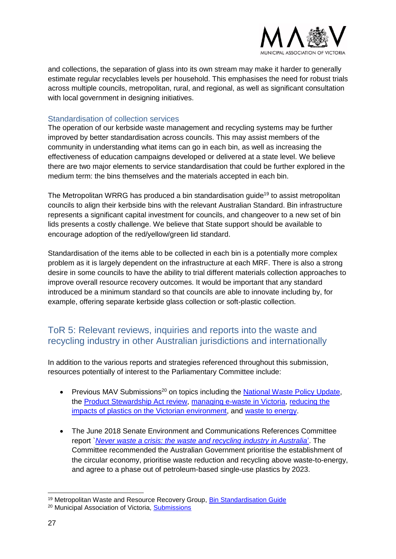

<span id="page-26-0"></span>and collections, the separation of glass into its own stream may make it harder to generally estimate regular recyclables levels per household. This emphasises the need for robust trials across multiple councils, metropolitan, rural, and regional, as well as significant consultation with local government in designing initiatives.

#### Standardisation of collection services

The operation of our kerbside waste management and recycling systems may be further improved by better standardisation across councils. This may assist members of the community in understanding what items can go in each bin, as well as increasing the effectiveness of education campaigns developed or delivered at a state level. We believe there are two major elements to service standardisation that could be further explored in the medium term: the bins themselves and the materials accepted in each bin.

The Metropolitan WRRG has produced a bin standardisation quide<sup>19</sup> to assist metropolitan councils to align their kerbside bins with the relevant Australian Standard. Bin infrastructure represents a significant capital investment for councils, and changeover to a new set of bin lids presents a costly challenge. We believe that State support should be available to encourage adoption of the red/yellow/green lid standard.

<span id="page-26-1"></span>Standardisation of the items able to be collected in each bin is a potentially more complex problem as it is largely dependent on the infrastructure at each MRF. There is also a strong desire in some councils to have the ability to trial different materials collection approaches to improve overall resource recovery outcomes. It would be important that any standard introduced be a minimum standard so that councils are able to innovate including by, for example, offering separate kerbside glass collection or soft-plastic collection.

### ToR 5: Relevant reviews, inquiries and reports into the waste and recycling industry in other Australian jurisdictions and internationally

In addition to the various reports and strategies referenced throughout this submission, resources potentially of interest to the Parliamentary Committee include:

- Previous MAV Submissions<sup>20</sup> on topics including the [National Waste Policy Update,](http://www.mav.asn.au/__data/assets/pdf_file/0017/21356/MAV-Submission-to-National-Waste-Policy-update.pdf) the [Product Stewardship Act review,](http://www.mav.asn.au/__data/assets/word_doc/0013/20416/Submission-on-Product-Stewardship-Act-review.docx) [managing e-waste in Victoria,](http://www.mav.asn.au/__data/assets/word_doc/0018/5724/Submission-on-managing-e-waste-in-Vic-Jan-2018.docx) reducing the [impacts of plastics on the Victorian environment,](http://www.mav.asn.au/__data/assets/word_doc/0019/5725/Submission-on-reducing-the-impacts-of-plastics-on-the-Victorian-environment-Jan-2018.docx) and [waste to energy.](http://www.mav.asn.au/__data/assets/word_doc/0004/5755/Submission-to-turning-waste-into-energy-discussion-paper-Dec-2017.docx)
- The June 2018 Senate Environment and Communications References Committee report `*[Never waste a crisis: the waste and recycling industry in Australia](https://www.aph.gov.au/Parliamentary_Business/Committees/Senate/Environment_and_Communications/WasteandRecycling/Report)*'. The Committee recommended the Australian Government prioritise the establishment of the circular economy, prioritise waste reduction and recycling above waste-to-energy, and agree to a phase out of petroleum-based single-use plastics by 2023.

<sup>19</sup> Metropolitan Waste and Resource Recovery Group, [Bin Standardisation Guide](https://www.mwrrg.vic.gov.au/assets/resource-files/Bin-Standardisation-Guide.pdf)

<sup>20</sup> Municipal Association of Victoria, [Submissions](http://www.mav.asn.au/news-resources/publications/submissions)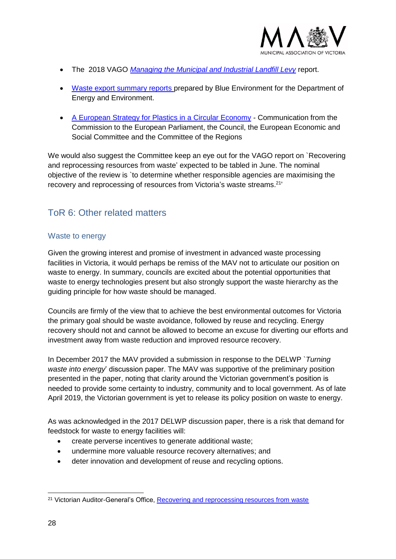

- The 2018 VAGO *[Managing the Municipal and Industrial Landfill Levy](https://www.audit.vic.gov.au/report/managing-municipal-and-industrial-landfill-levy)* report.
- [Waste export summary reports](https://www.environment.gov.au/protection/waste-resource-recovery/publications) prepared by Blue Environment for the Department of Energy and Environment.
- [A European Strategy for Plastics in a Circular Economy](https://eur-lex.europa.eu/legal-content/EN/TXT/?qid=1516265440535&uri=COM:2018:28:FIN) Communication from the Commission to the European Parliament, the Council, the European Economic and Social Committee and the Committee of the Regions

<span id="page-27-0"></span>We would also suggest the Committee keep an eye out for the VAGO report on `Recovering and reprocessing resources from waste' expected to be tabled in June. The nominal objective of the review is `to determine whether responsible agencies are maximising the recovery and reprocessing of resources from Victoria's waste streams.<sup>21</sup>

# <span id="page-27-1"></span>ToR 6: Other related matters

#### Waste to energy

Given the growing interest and promise of investment in advanced waste processing facilities in Victoria, it would perhaps be remiss of the MAV not to articulate our position on waste to energy. In summary, councils are excited about the potential opportunities that waste to energy technologies present but also strongly support the waste hierarchy as the guiding principle for how waste should be managed.

Councils are firmly of the view that to achieve the best environmental outcomes for Victoria the primary goal should be waste avoidance, followed by reuse and recycling. Energy recovery should not and cannot be allowed to become an excuse for diverting our efforts and investment away from waste reduction and improved resource recovery.

In December 2017 the MAV provided a submission in response to the DELWP `*Turning waste into energy*' discussion paper. The MAV was supportive of the preliminary position presented in the paper, noting that clarity around the Victorian government's position is needed to provide some certainty to industry, community and to local government. As of late April 2019, the Victorian government is yet to release its policy position on waste to energy.

As was acknowledged in the 2017 DELWP discussion paper, there is a risk that demand for feedstock for waste to energy facilities will:

- create perverse incentives to generate additional waste;
- undermine more valuable resource recovery alternatives; and
- deter innovation and development of reuse and recycling options.

<sup>-</sup><sup>21</sup> Victorian Auditor-General's Office, [Recovering and reprocessing resources from waste](https://www.audit.vic.gov.au/report/recovering-and-reprocessing-resources-waste)